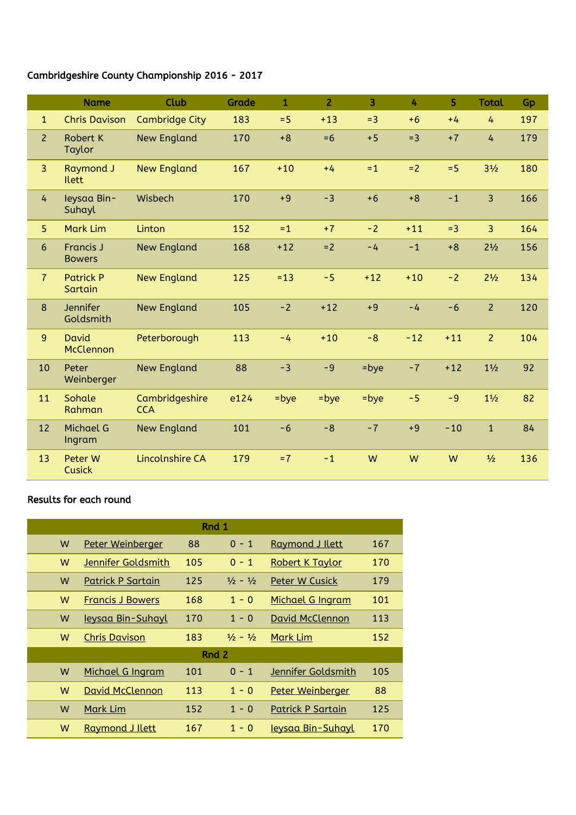## Cambridgeshire County Championship 2016 - 2017

|                | <b>Name</b>                       | Club                         | Grade | $\mathbf{1}$ | $\overline{2}$ | 3     | 4     | 5     | <b>Total</b>   | Gp  |
|----------------|-----------------------------------|------------------------------|-------|--------------|----------------|-------|-------|-------|----------------|-----|
| $\mathbf{1}$   | <b>Chris Davison</b>              | <b>Cambridge City</b>        | 183   | $= 5$        | $+13$          | $= 3$ | $+6$  | $+4$  | 4              | 197 |
| $\overline{2}$ | <b>Robert K</b><br>Taylor         | <b>New England</b>           | 170   | $+8$         | $= 6$          | $+5$  | $= 3$ | $+7$  | 4              | 179 |
| $\overline{3}$ | <b>Raymond J</b><br><b>Ilett</b>  | <b>New England</b>           | 167   | $+10$        | $+4$           | $=1$  | $= 2$ | $= 5$ | $3\frac{1}{2}$ | 180 |
| 4              | leysaa Bin-<br>Suhayl             | Wisbech                      | 170   | $+9$         | $-3$           | $+6$  | $+8$  | $-1$  | $\overline{3}$ | 166 |
| 5 <sup>1</sup> | <b>Mark Lim</b>                   | Linton                       | 152   | $=1$         | $+7$           | $-2$  | $+11$ | $= 3$ | $\overline{3}$ | 164 |
| 6              | <b>Francis J</b><br><b>Bowers</b> | <b>New England</b>           | 168   | $+12$        | $= 2$          | $-4$  | $-1$  | $+8$  | $2^{1/2}$      | 156 |
| $\overline{7}$ | <b>Patrick P</b><br>Sartain       | <b>New England</b>           | 125   | $= 13$       | $-5$           | $+12$ | $+10$ | $-2$  | $2^{1/2}$      | 134 |
| 8              | Jennifer<br>Goldsmith             | <b>New England</b>           | 105   | $-2$         | $+12$          | $+9$  | $-4$  | $-6$  | $\overline{2}$ | 120 |
| $\overline{9}$ | <b>David</b><br>McClennon         | Peterborough                 | 113   | $-4$         | $+10$          | $-8$  | $-12$ | $+11$ | $\overline{2}$ | 104 |
| 10             | Peter<br>Weinberger               | <b>New England</b>           | 88    | $-3$         | $-9$           | =bye  | $-7$  | $+12$ | $1\frac{1}{2}$ | 92  |
| 11             | Sohale<br>Rahman                  | Cambridgeshire<br><b>CCA</b> | e124  | =bye         | $=$ bye        | =bye  | $-5$  | $-9$  | $1\frac{1}{2}$ | 82  |
| 12             | <b>Michael G</b><br>Ingram        | <b>New England</b>           | 101   | $-6$         | $-8$           | $-7$  | $+9$  | $-10$ | $\mathbf{1}$   | 84  |
| 13             | Peter W<br><b>Cusick</b>          | Lincolnshire CA              | 179   | $=7$         | $-1$           | W     | W     | W     | $\frac{1}{2}$  | 136 |

## Results for each round

| Rnd 1 |                          |     |                             |                         |     |  |  |  |
|-------|--------------------------|-----|-----------------------------|-------------------------|-----|--|--|--|
| W     | Peter Weinberger         | 88  | $0 - 1$                     | Raymond J Ilett         | 167 |  |  |  |
| W     | Jennifer Goldsmith       | 105 | $0 - 1$                     | <b>Robert K Taylor</b>  | 170 |  |  |  |
| W     | Patrick P Sartain        | 125 | $\frac{1}{2} - \frac{1}{2}$ | Peter W Cusick          | 179 |  |  |  |
| W     | <b>Francis J Bowers</b>  | 168 | $1 - 0$                     | <b>Michael G Ingram</b> | 101 |  |  |  |
| W     | <u>Ieysaa Bin-Suhayl</u> | 170 | $1 - 0$                     | <b>David McClennon</b>  | 113 |  |  |  |
| W     | <b>Chris Davison</b>     | 183 | $\frac{1}{2} - \frac{1}{2}$ | Mark Lim                | 152 |  |  |  |
| Rnd 2 |                          |     |                             |                         |     |  |  |  |
| W     | Michael G Ingram         | 101 | $0 - 1$                     | Jennifer Goldsmith      | 105 |  |  |  |
| W     | <b>David McClennon</b>   | 113 | $1 - 0$                     | Peter Weinberger        | 88  |  |  |  |
| W     | Mark Lim                 | 152 | $1 - 0$                     | Patrick P Sartain       | 125 |  |  |  |
| W     | <b>Raymond J Ilett</b>   | 167 | $1 -$<br>$\overline{0}$     | leysaa Bin-Suhayl       | 170 |  |  |  |